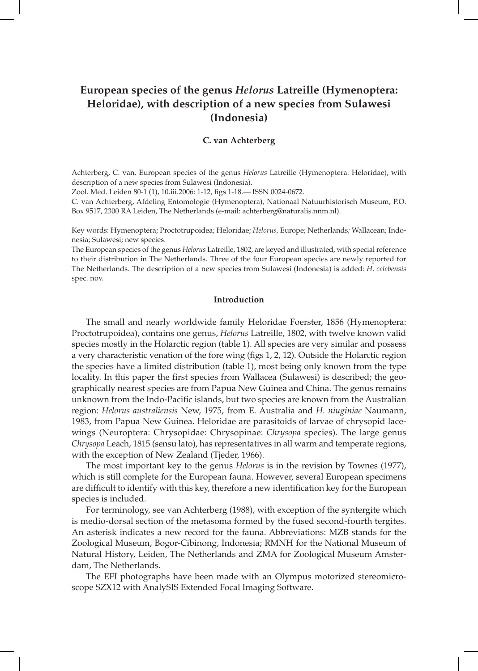# **European species of the genus** *Helorus* **Latreille (Hymenoptera: Heloridae), with description of a new species from Sulawesi (Indonesia)**

#### **C. van Achterberg**

Achterberg, C. van. European species of the genus *Helorus* Latreille (Hymenoptera: Heloridae), with description of a new species from Sulawesi (Indonesia).

Zool. Med. Leiden 80-1 (1), 10.iii.2006: 1-12, figs 1-18.— ISSN 0024-0672.

C. van Achterberg, Afdeling Entomologie (Hymenoptera), Nationaal Natuurhistorisch Museum, P.O. Box 9517, 2300 RA Leiden, The Netherlands (e-mail: achterberg@naturalis.nnm.nl).

Key words: Hymenoptera; Proctotrupoidea; Heloridae; *Helorus,* Europe; Netherlands*;* Wallacean; Indonesia; Sulawesi; new species.

The European species of the genus *Helorus* Latreille, 1802, are keyed and illustrated, with special reference to their distribution in The Netherlands. Three of the four European species are newly reported for The Netherlands. The description of a new species from Sulawesi (Indonesia) is added: *H*. *celebensis* spec. nov.

#### **Introduction**

The small and nearly worldwide family Heloridae Foerster, 1856 (Hymenoptera: Proctotrupoidea), contains one genus, *Helorus* Latreille, 1802, with twelve known valid species mostly in the Holarctic region (table 1). All species are very similar and possess a very characteristic venation of the fore wing (figs 1, 2, 12). Outside the Holarctic region the species have a limited distribution (table 1), most being only known from the type locality. In this paper the first species from Wallacea (Sulawesi) is described; the geographically nearest species are from Papua New Guinea and China. The genus remains unknown from the Indo-Pacific islands, but two species are known from the Australian region: *Helorus australiensis* New, 1975, from E. Australia and *H. niuginiae* Naumann, 1983, from Papua New Guinea. Heloridae are parasitoids of larvae of chrysopid lacewings (Neuroptera: Chrysopidae: Chrysopinae: *Chrysopa* species). The large genus *Chrysopa* Leach, 1815 (sensu lato), has representatives in all warm and temperate regions, with the exception of New Zealand (Tjeder, 1966).

 The most important key to the genus *Helorus* is in the revision by Townes (1977), which is still complete for the European fauna. However, several European specimens are difficult to identify with this key, therefore a new identification key for the European species is included.

 For terminology, see van Achterberg (1988), with exception of the syntergite which is medio-dorsal section of the metasoma formed by the fused second-fourth tergites. An asterisk indicates a new record for the fauna. Abbreviations: MZB stands for the Zoological Museum, Bogor-Cibinong, Indonesia; RMNH for the National Museum of Natural History, Leiden, The Netherlands and ZMA for Zoological Museum Amsterdam, The Netherlands.

 The EFI photographs have been made with an Olympus motorized stereomicroscope SZX12 with AnalySIS Extended Focal Imaging Software.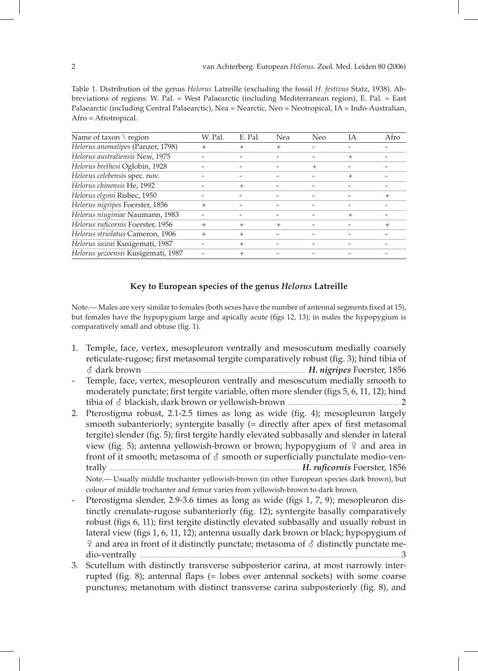Table 1. Distribution of the genus *Helorus* Latreille (excluding the fossil *H. festivus* Statz, 1938). Abbreviations of regions: W. Pal. = West Palaearctic (including Mediterranean region), E. Pal. = East Palaearctic (including Central Palaearctic), Nea = Nearctic, Neo = Neotropical, IA = Indo-Australian, Afro = Afrotropical.

| Name of taxon $\setminus$ region   | W. Pal. | E. Pal. | Nea    | Neo    | ĪΑ     | Afro   |
|------------------------------------|---------|---------|--------|--------|--------|--------|
| Helorus anomalipes (Panzer, 1798)  | $^{+}$  | $^{+}$  | $^{+}$ |        |        |        |
| Helorus australiensis New, 1975    |         |         |        |        | $^{+}$ |        |
| Helorus brethesi Oglobin, 1928     |         |         |        | $^{+}$ |        |        |
| Helorus celebensis spec. nov.      |         |         |        |        | $\, +$ |        |
| Helorus chinensis He, 1992         |         | $\, +$  |        |        |        |        |
| Helorus elgoni Risbec, 1950        |         |         |        |        |        | $^{+}$ |
| Helorus nigripes Foerster, 1856    | $^{+}$  |         |        |        |        |        |
| Helorus niuginiae Naumann, 1983    |         |         |        |        | $^{+}$ |        |
| Helorus ruficornis Foerster, 1956  | $^{+}$  | $^{+}$  | $^{+}$ |        |        | $^{+}$ |
| Helorus striolatus Cameron, 1906   | $^{+}$  | $^{+}$  |        |        |        |        |
| Helorus suwai Kusigemati, 1987     |         | $\, +$  |        |        |        |        |
| Helorus yezoensis Kusigemati, 1987 |         | $^{+}$  |        |        |        |        |
|                                    |         |         |        |        |        |        |

#### **Key to European species of the genus** *Helorus* **Latreille**

Note.— Males are very similar to females (both sexes have the number of antennal segments fixed at 15), but females have the hypopygium large and apically acute (figs 12, 13); in males the hypopygium is comparatively small and obtuse (fig. 1).

- 1. Temple, face, vertex, mesopleuron ventrally and mesoscutum medially coarsely reticulate-rugose; first metasomal tergite comparatively robust (fig. 3); hind tibia of - dark brown .............................................................................................. *H. nigripes* Foerster, 1856
- Temple, face, vertex, mesopleuron ventrally and mesoscutum medially smooth to moderately punctate; first tergite variable, often more slender (figs 5, 6, 11, 12); hind tibia of - blackish, dark brown or yellowish-brown ................................................................. 2
- 2. Pterostigma robust,  $2.1$ - $2.5$  times as long as wide (fig. 4); mesopleuron largely smooth subanteriorly; syntergite basally  $($  = directly after apex of first metasomal tergite) slender (fig. 5); first tergite hardly elevated subbasally and slender in lateral view (fig. 5); antenna yellowish-brown or brown; hypopygium of  $9$  and area in front of it smooth; metasoma of  $\delta$  smooth or superficially punctulate medio-ventrally ............................................................................................................... *H. rufi cornis* Foerster, 1856 Note.— Usually middle trochanter yellowish-brown (in other European species dark brown), but colour of middle trochanter and femur varies from yellowish-brown to dark brown.
- Pterostigma slender, 2.9-3.6 times as long as wide (figs 1, 7, 9); mesopleuron distinctly crenulate-rugose subanteriorly (fig. 12); syntergite basally comparatively robust (figs 6, 11); first tergite distinctly elevated subbasally and usually robust in lateral view (figs 1, 6, 11, 12); antenna usually dark brown or black; hypopygium of  $\Omega$  and area in front of it distinctly punctate; metasoma of  $\delta$  distinctly punctate medio-ventrally ....................................................................................................................................................... 3
- 3. Scutellum with distinctly transverse subposterior carina, at most narrowly interrupted (fig. 8); antennal flaps  $(=$  lobes over antennal sockets) with some coarse punctures; metanotum with distinct transverse carina subposteriorly (fig. 8), and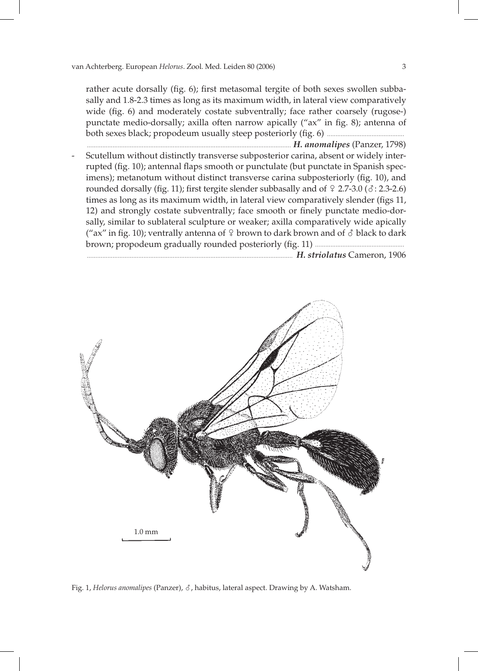rather acute dorsally (fig. 6); first metasomal tergite of both sexes swollen subbasally and 1.8-2.3 times as long as its maximum width, in lateral view comparatively wide (fig. 6) and moderately costate subventrally; face rather coarsely (rugose-) punctate medio-dorsally; axilla often narrow apically ("ax" in fig. 8); antenna of both sexes black; propodeum usually steep posteriorly (fi g. 6) .............................................

 ....................................................................................................................... *H. anomalipes* (Panzer, 1798) Scutellum without distinctly transverse subposterior carina, absent or widely interrupted (fig. 10); antennal flaps smooth or punctulate (but punctate in Spanish specimens); metanotum without distinct transverse carina subposteriorly (fig. 10), and rounded dorsally (fig. 11); first tergite slender subbasally and of  $\varphi$  2.7-3.0 ( $\delta$ : 2.3-2.6) times as long as its maximum width, in lateral view comparatively slender (figs 11, 12) and strongly costate subventrally; face smooth or finely punctate medio-dorsally, similar to sublateral sculpture or weaker; axilla comparatively wide apically ("ax" in fig. 10); ventrally antenna of  $\Omega$  brown to dark brown and of  $\delta$  black to dark brown; propodeum gradually rounded posteriorly (fi g. 11) ....................................................

........................................................................................................................ *H. striolatus* Cameron, 1906



Fig. 1, *Helorus anomalipes* (Panzer),  $\delta$  , habitus, lateral aspect. Drawing by A. Watsham.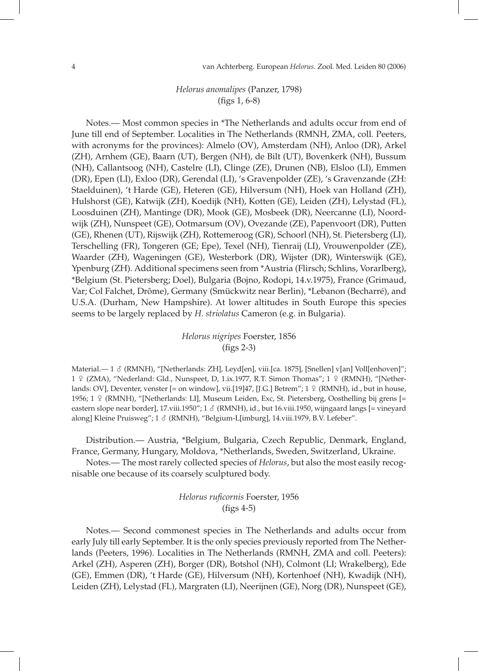### *Helorus anomalipes* (Panzer, 1798)  $(figs 1, 6-8)$

 Notes.— Most common species in \*The Netherlands and adults occur from end of June till end of September. Localities in The Netherlands (RMNH, ZMA, coll. Peeters, with acronyms for the provinces): Almelo (OV), Amsterdam (NH), Anloo (DR), Arkel (ZH), Arnhem (GE), Baarn (UT), Bergen (NH), de Bilt (UT), Bovenkerk (NH), Bussum (NH), Callantsoog (NH), Castelre (LI), Clinge (ZE), Drunen (NB), Elsloo (LI), Emmen (DR), Epen (LI), Exloo (DR), Gerendal (LI), 's Gravenpolder (ZE), 's Gravenzande (ZH: Staelduinen), 't Harde (GE), Heteren (GE), Hilversum (NH), Hoek van Holland (ZH), Hulshorst (GE), Katwijk (ZH), Koedijk (NH), Kotten (GE), Leiden (ZH), Lelystad (FL), Loosduinen (ZH), Mantinge (DR), Mook (GE), Mosbeek (DR), Neercanne (LI), Noordwijk (ZH), Nunspeet (GE), Ootmarsum (OV), Ovezande (ZE), Papenvoort (DR), Putten (GE), Rhenen (UT), Rijswijk (ZH), Rottemeroog (GR), Schoorl (NH), St. Pietersberg (LI), Terschelling (FR), Tongeren (GE; Epe), Texel (NH), Tienraij (LI), Vrouwenpolder (ZE), Waarder (ZH), Wageningen (GE), Westerbork (DR), Wijster (DR), Winterswijk (GE), Ypenburg (ZH). Additional specimens seen from \*Austria (Flirsch; Schlins, Vorarlberg), \*Belgium (St. Pietersberg; Doel), Bulgaria (Bojno, Rodopi, 14.v.1975), France (Grimaud, Var; Col Falchet, Drôme), Germany (Smückwitz near Berlin), \*Lebanon (Becharré), and U.S.A. (Durham, New Hampshire). At lower altitudes in South Europe this species seems to be largely replaced by *H. striolatus* Cameron (e.g. in Bulgaria).

### *Helorus nigripes* Foerster, 1856  $(figs 2-3)$

Material.— 1 ♂ (RMNH), "[Netherlands: ZH], Leyd[en], viii.[ca. 1875], [Snellen] v[an] Voll[enhoven]"; 1 º (ZMA), "Nederland: Gld., Nunspeet, D, 1.ix.1977, R.T. Simon Thomas"; 1 º (RMNH), "[Netherlands: OV], Deventer, venster [= on window], vii.[19]47, [J.G.] Betrem"; 1 º (RMNH), id., but in house, 1956; 1 (RMNH), "[Netherlands: LI], Museum Leiden, Exc, St. Pietersberg, Oosthelling bij grens [= eastern slope near border], 17.viii.1950"; 1 ♂ (RMNH), id., but 16.viii.1950, wijngaard langs [= vineyard along] Kleine Pruisweg"; 1 & (RMNH), "Belgium-L[imburg], 14.viii.1979, B.V. Lefeber".

 Distribution.— Austria, \*Belgium, Bulgaria, Czech Republic, Denmark, England, France, Germany, Hungary, Moldova, \*Netherlands, Sweden, Switzerland, Ukraine.

 Notes.— The most rarely collected species of *Helorus*, but also the most easily recognisable one because of its coarsely sculptured body.

> *Helorus ruficornis* Foerster, 1956  $(figs 4-5)$

 Notes.— Second commonest species in The Netherlands and adults occur from early July till early September. It is the only species previously reported from The Netherlands (Peeters, 1996). Localities in The Netherlands (RMNH, ZMA and coll. Peeters): Arkel (ZH), Asperen (ZH), Borger (DR), Botshol (NH), Colmont (LI; Wrakelberg), Ede (GE), Emmen (DR), 't Harde (GE), Hilversum (NH), Kortenhoef (NH), Kwadijk (NH), Leiden (ZH), Lelystad (FL), Margraten (LI), Neerijnen (GE), Norg (DR), Nunspeet (GE),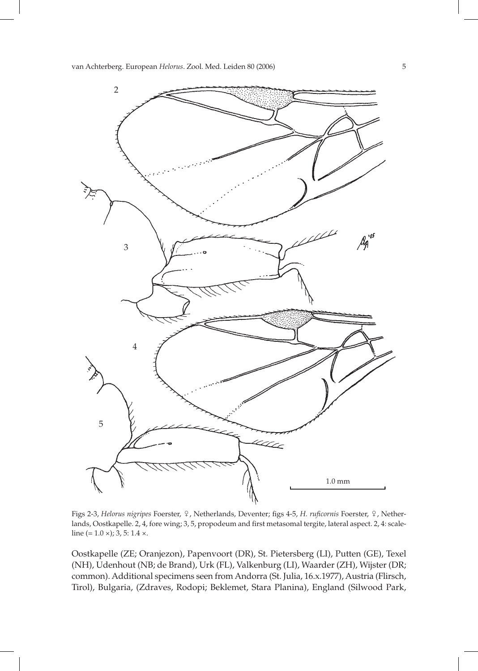

Figs 2-3, *Helorus nigripes* Foerster,  $\varphi$ , Netherlands, Deventer; figs 4-5, *H. ruficornis* Foerster,  $\varphi$ , Netherlands, Oostkapelle. 2, 4, fore wing; 3, 5, propodeum and first metasomal tergite, lateral aspect. 2, 4: scaleline (=  $1.0 \times$ ); 3, 5:  $1.4 \times$ .

Oostkapelle (ZE; Oranjezon), Papenvoort (DR), St. Pietersberg (LI), Putten (GE), Texel (NH), Udenhout (NB; de Brand), Urk (FL), Valkenburg (LI), Waarder (ZH), Wijster (DR; common). Additional specimens seen from Andorra (St. Julia, 16.x.1977), Austria (Flirsch, Tirol), Bulgaria, (Zdraves, Rodopi; Beklemet, Stara Planina), England (Silwood Park,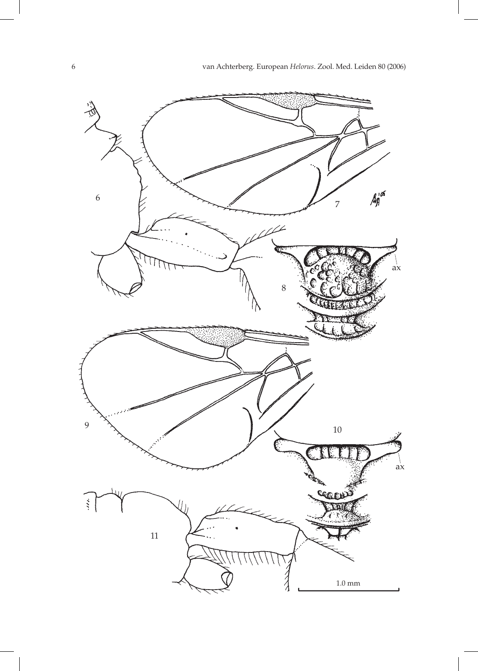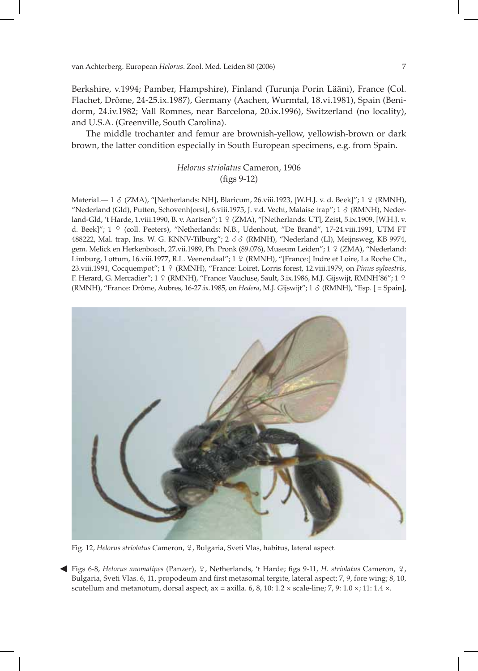Berkshire, v.1994; Pamber, Hampshire), Finland (Turunja Porin Lääni), France (Col. Flachet, Drôme, 24-25.ix.1987), Germany (Aachen, Wurmtal, 18.vi.1981), Spain (Benidorm, 24.iv.1982; Vall Romnes, near Barcelona, 20.ix.1996), Switzerland (no locality), and U.S.A. (Greenville, South Carolina).

 The middle trochanter and femur are brownish-yellow, yellowish-brown or dark brown, the latter condition especially in South European specimens, e.g. from Spain.

# *Helorus striolatus* Cameron, 1906  $(figs 9-12)$

Material.— 1 & (ZMA), "[Netherlands: NH], Blaricum, 26.viii.1923, [W.H.J. v. d. Beek]"; 1 & (RMNH), "Nederland (Gld), Putten, Schovenh[orst], 6.viii.1975, J. v.d. Vecht, Malaise trap"; 1 & (RMNH), Nederland-Gld, 't Harde, 1.viii.1990, B. v. Aartsen"; 1 º (ZMA), "[Netherlands: UT], Zeist, 5.ix.1909, [W.H.J. v. d. Beek]"; 1 º (coll. Peeters), "Netherlands: N.B., Udenhout, "De Brand", 17-24.viii.1991, UTM FT  $488222$ , Mal. trap, Ins. W. G. KNNV-Tilburg"; 2  $\delta$   $\delta$  (RMNH), "Nederland (LI), Meijnsweg, KB 9974, gem. Melick en Herkenbosch, 27.vii.1989, Ph. Pronk (89.076), Museum Leiden"; 1 º (ZMA), "Nederland: Limburg, Lottum, 16.viii.1977, R.L. Veenendaal"; 1 º (RMNH), "[France:] Indre et Loire, La Roche Clt., 23.viii.1991, Cocquempot"; 1 (RMNH), "France: Loiret, Lorris forest, 12.viii.1979, on *Pinus sylvestris*, F. Herard, G. Mercadier"; 1 º (RMNH), "France: Vaucluse, Sault, 3.ix.1986, M.J. Gijswijt, RMNH'86"; 1 º (RMNH), "France: Drôme, Aubres, 16-27.ix.1985, on *Hedera*, M.J. Gijswijt"; 1  $\delta$  (RMNH), "Esp. [ = Spain],



Fig. 12, *Helorus striolatus* Cameron, 9, Bulgaria, Sveti Vlas, habitus, lateral aspect.

Figs 6-8, *Helorus anomalipes* (Panzer),  $\Omega$ , Netherlands, 't Harde; figs 9-11, *H. striolatus* Cameron,  $\Omega$ , Bulgaria, Sveti Vlas. 6, 11, propodeum and first metasomal tergite, lateral aspect; 7, 9, fore wing; 8, 10, scutellum and metanotum, dorsal aspect, ax = axilla. 6, 8, 10: 1.2  $\times$  scale-line; 7, 9: 1.0  $\times$ ; 11: 1.4  $\times$ .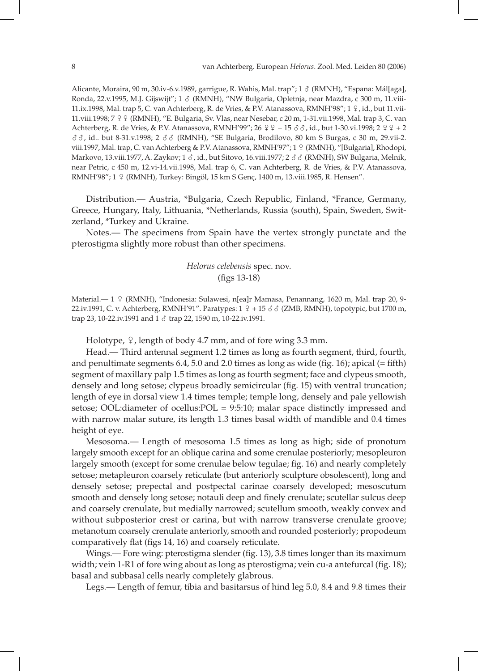Alicante, Moraira, 90 m, 30.iv-6.v.1989, garrigue, R. Wahis, Mal. trap''; 1 & (RMNH), "Espana: Mál[aga], Ronda, 22.v.1995, M.J. Gijswijt''; 1 ♂ (RMNH), "NW Bulgaria, Opletnja, near Mazdra, c 300 m, 11.viii-11.ix.1998, Mal. trap 5, C. van Achterberg, R. de Vries, & P.V. Atanassova, RMNH'98"; 1 9, id., but 11.vii-11.viii.1998; 7 º º (RMNH), "E. Bulgaria, Sv. Vlas, near Nesebar, c 20 m, 1-31.vii.1998, Mal. trap 3, C. van Achterberg, R. de Vries, & P.V. Atanassova, RMNH′99″; 26 ♀♀ + 15 ♂♂, id., but 1-30.vi.1998; 2 ♀♀ + 2 δδ, id.. but 8-31.v.1998; 2 δδ (RMNH), "SE Bulgaria, Brodilovo, 80 km S Burgas, c 30 m, 29.vii-2. viii.1997, Mal. trap, C. van Achterberg & P.V. Atanassova, RMNH'97"; 1 º (RMNH), "[Bulgaria], Rhodopi, Markovo, 13.viii.1977, A. Zaykov; 1 ♂, id., but Sitovo, 16.viii.1977; 2 ♂ ♂ (RMNH), SW Bulgaria, Melnik, near Petric, c 450 m, 12.vi-14.vii.1998, Mal. trap 6, C. van Achterberg, R. de Vries, & P.V. Atanassova, RMNH'98"; 1 º (RMNH), Turkey: Bingöl, 15 km S Genç, 1400 m, 13.viii.1985, R. Hensen".

 Distribution.— Austria, \*Bulgaria, Czech Republic, Finland, \*France, Germany, Greece, Hungary, Italy, Lithuania, \*Netherlands, Russia (south), Spain, Sweden, Switzerland, \*Turkey and Ukraine.

 Notes.— The specimens from Spain have the vertex strongly punctate and the pterostigma slightly more robust than other specimens.

# *Helorus celebensis* spec. nov.  $(figs 13-18)$

Material.— 1 º (RMNH), "Indonesia: Sulawesi, n[ea]r Mamasa, Penannang, 1620 m, Mal. trap 20, 9-22.iv.1991, C. v. Achterberg, RMNH'91". Paratypes:  $1 \nsubseteq + 15 \nless \nsubseteq (ZMB, RMMH)$ , topotypic, but 1700 m, trap 23, 10-22.iv.1991 and 1 & trap 22, 1590 m, 10-22.iv.1991.

Holotype,  $9$ , length of body 4.7 mm, and of fore wing 3.3 mm.

 Head.— Third antennal segment 1.2 times as long as fourth segment, third, fourth, and penultimate segments  $6.4$ ,  $5.0$  and  $2.0$  times as long as wide (fig. 16); apical (= fifth) segment of maxillary palp 1.5 times as long as fourth segment; face and clypeus smooth, densely and long setose; clypeus broadly semicircular (fig. 15) with ventral truncation; length of eye in dorsal view 1.4 times temple; temple long, densely and pale yellowish setose; OOL:diameter of ocellus:POL = 9:5:10; malar space distinctly impressed and with narrow malar suture, its length 1.3 times basal width of mandible and 0.4 times height of eye.

 Mesosoma.— Length of mesosoma 1.5 times as long as high; side of pronotum largely smooth except for an oblique carina and some crenulae posteriorly; mesopleuron largely smooth (except for some crenulae below tegulae; fig. 16) and nearly completely setose; metapleuron coarsely reticulate (but anteriorly sculpture obsolescent), long and densely setose; prepectal and postpectal carinae coarsely developed; mesoscutum smooth and densely long setose; notauli deep and finely crenulate; scutellar sulcus deep and coarsely crenulate, but medially narrowed; scutellum smooth, weakly convex and without subposterior crest or carina, but with narrow transverse crenulate groove; metanotum coarsely crenulate anteriorly, smooth and rounded posteriorly; propodeum comparatively flat (figs 14, 16) and coarsely reticulate.

Wings.— Fore wing: pterostigma slender (fig. 13), 3.8 times longer than its maximum width; vein 1-R1 of fore wing about as long as pterostigma; vein cu-a antefurcal (fig. 18); basal and subbasal cells nearly completely glabrous.

Legs.— Length of femur, tibia and basitarsus of hind leg 5.0, 8.4 and 9.8 times their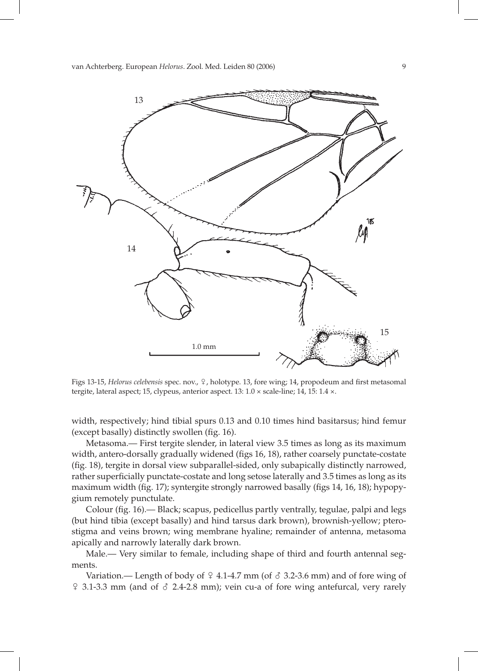

Figs 13-15, *Helorus celebensis* spec. nov.,  $\Omega$ , holotype. 13, fore wing; 14, propodeum and first metasomal tergite, lateral aspect; 15, clypeus, anterior aspect. 13: 1.0 × scale-line; 14, 15: 1.4 ×.

width, respectively; hind tibial spurs 0.13 and 0.10 times hind basitarsus; hind femur (except basally) distinctly swollen (fig. 16).

 Metasoma.— First tergite slender, in lateral view 3.5 times as long as its maximum width, antero-dorsally gradually widened (figs 16, 18), rather coarsely punctate-costate (fig. 18), tergite in dorsal view subparallel-sided, only subapically distinctly narrowed, rather superficially punctate-costate and long setose laterally and 3.5 times as long as its maximum width (fig. 17); syntergite strongly narrowed basally (figs 14, 16, 18); hypopygium remotely punctulate.

Colour (fig. 16).— Black; scapus, pedicellus partly ventrally, tegulae, palpi and legs (but hind tibia (except basally) and hind tarsus dark brown), brownish-yellow; pterostigma and veins brown; wing membrane hyaline; remainder of antenna, metasoma apically and narrowly laterally dark brown.

 Male.— Very similar to female, including shape of third and fourth antennal segments.

Variation.— Length of body of  $9$  4.1-4.7 mm (of  $\delta$  3.2-3.6 mm) and of fore wing of  $\frac{9}{2}$  3.1-3.3 mm (and of  $\delta$  2.4-2.8 mm); vein cu-a of fore wing antefurcal, very rarely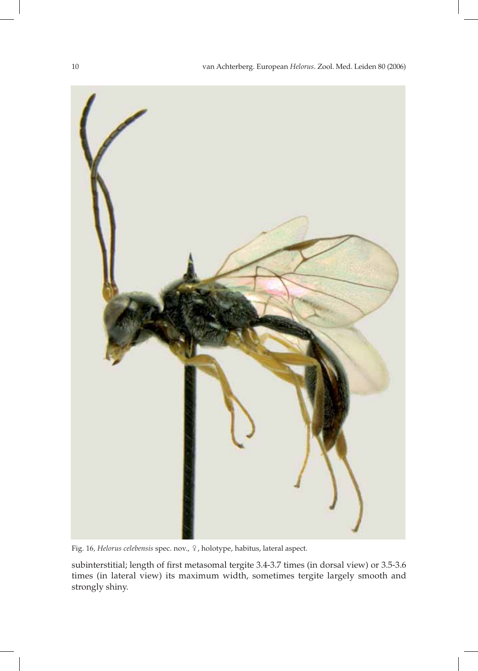

Fig. 16, Helorus celebensis spec. nov.,  $\Omega$ , holotype, habitus, lateral aspect.

subinterstitial; length of first metasomal tergite 3.4-3.7 times (in dorsal view) or 3.5-3.6 times (in lateral view) its maximum width, sometimes tergite largely smooth and strongly shiny.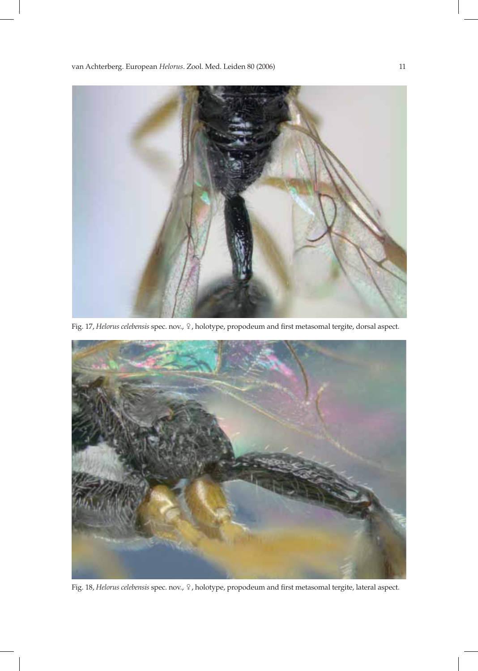

Fig. 17, *Helorus celebensis* spec. nov.,  $\Omega$ , holotype, propodeum and first metasomal tergite, dorsal aspect.



Fig. 18, *Helorus celebensis* spec. nov.,  $\Omega$ , holotype, propodeum and first metasomal tergite, lateral aspect.